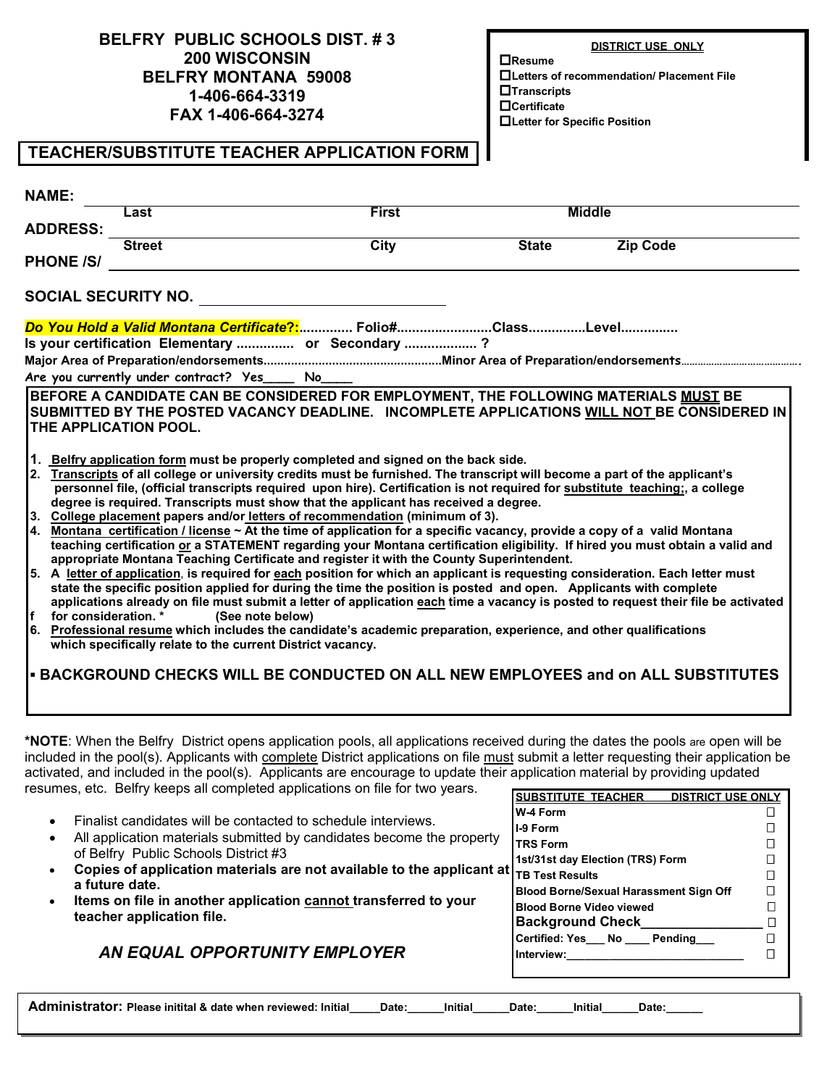### **BELFRY PUBLIC SCHOOLS DIST. # 3 200 WISCONSIN BELFRY MONTANA 59008 1-406-664-3319 FAX 1-406-664-3274**

**DISTRICT USE ONLY**

**Resume Letters of recommendation/ Placement File Transcripts Certificate Letter for Specific Position**

### **TEACHER/SUBSTITUTE TEACHER APPLICATION FORM**

| <b>NAME:</b>                                        |                                                                                                                                                                                                                                                                                                                                                                                                                                                                                                                                                                                                                                                                                                                                                                                                                                                                                                                                                                                                                                                                                                                                                                                                                                                                                                                                                                                                                                                                                                                                                                                                                                                                                                                                                                 |              |                                                                                                |                                                                                                                                                                                                                      |                                                                         |
|-----------------------------------------------------|-----------------------------------------------------------------------------------------------------------------------------------------------------------------------------------------------------------------------------------------------------------------------------------------------------------------------------------------------------------------------------------------------------------------------------------------------------------------------------------------------------------------------------------------------------------------------------------------------------------------------------------------------------------------------------------------------------------------------------------------------------------------------------------------------------------------------------------------------------------------------------------------------------------------------------------------------------------------------------------------------------------------------------------------------------------------------------------------------------------------------------------------------------------------------------------------------------------------------------------------------------------------------------------------------------------------------------------------------------------------------------------------------------------------------------------------------------------------------------------------------------------------------------------------------------------------------------------------------------------------------------------------------------------------------------------------------------------------------------------------------------------------|--------------|------------------------------------------------------------------------------------------------|----------------------------------------------------------------------------------------------------------------------------------------------------------------------------------------------------------------------|-------------------------------------------------------------------------|
|                                                     | Last                                                                                                                                                                                                                                                                                                                                                                                                                                                                                                                                                                                                                                                                                                                                                                                                                                                                                                                                                                                                                                                                                                                                                                                                                                                                                                                                                                                                                                                                                                                                                                                                                                                                                                                                                            | <b>First</b> |                                                                                                | <b>Middle</b>                                                                                                                                                                                                        |                                                                         |
| <b>ADDRESS:</b>                                     |                                                                                                                                                                                                                                                                                                                                                                                                                                                                                                                                                                                                                                                                                                                                                                                                                                                                                                                                                                                                                                                                                                                                                                                                                                                                                                                                                                                                                                                                                                                                                                                                                                                                                                                                                                 |              |                                                                                                |                                                                                                                                                                                                                      |                                                                         |
|                                                     | <b>Street</b>                                                                                                                                                                                                                                                                                                                                                                                                                                                                                                                                                                                                                                                                                                                                                                                                                                                                                                                                                                                                                                                                                                                                                                                                                                                                                                                                                                                                                                                                                                                                                                                                                                                                                                                                                   | <b>City</b>  | <b>State</b>                                                                                   | <b>Zip Code</b>                                                                                                                                                                                                      |                                                                         |
| <b>PHONE /S/</b>                                    |                                                                                                                                                                                                                                                                                                                                                                                                                                                                                                                                                                                                                                                                                                                                                                                                                                                                                                                                                                                                                                                                                                                                                                                                                                                                                                                                                                                                                                                                                                                                                                                                                                                                                                                                                                 |              |                                                                                                |                                                                                                                                                                                                                      |                                                                         |
|                                                     | <b>SOCIAL SECURITY NO.</b>                                                                                                                                                                                                                                                                                                                                                                                                                                                                                                                                                                                                                                                                                                                                                                                                                                                                                                                                                                                                                                                                                                                                                                                                                                                                                                                                                                                                                                                                                                                                                                                                                                                                                                                                      |              |                                                                                                |                                                                                                                                                                                                                      |                                                                         |
|                                                     |                                                                                                                                                                                                                                                                                                                                                                                                                                                                                                                                                                                                                                                                                                                                                                                                                                                                                                                                                                                                                                                                                                                                                                                                                                                                                                                                                                                                                                                                                                                                                                                                                                                                                                                                                                 |              |                                                                                                |                                                                                                                                                                                                                      |                                                                         |
|                                                     | Is your certification Elementary  or Secondary ?                                                                                                                                                                                                                                                                                                                                                                                                                                                                                                                                                                                                                                                                                                                                                                                                                                                                                                                                                                                                                                                                                                                                                                                                                                                                                                                                                                                                                                                                                                                                                                                                                                                                                                                |              |                                                                                                |                                                                                                                                                                                                                      |                                                                         |
|                                                     |                                                                                                                                                                                                                                                                                                                                                                                                                                                                                                                                                                                                                                                                                                                                                                                                                                                                                                                                                                                                                                                                                                                                                                                                                                                                                                                                                                                                                                                                                                                                                                                                                                                                                                                                                                 |              |                                                                                                |                                                                                                                                                                                                                      |                                                                         |
|                                                     | Are you currently under contract? Yes _____ No_____                                                                                                                                                                                                                                                                                                                                                                                                                                                                                                                                                                                                                                                                                                                                                                                                                                                                                                                                                                                                                                                                                                                                                                                                                                                                                                                                                                                                                                                                                                                                                                                                                                                                                                             |              |                                                                                                |                                                                                                                                                                                                                      |                                                                         |
| THE APPLICATION POOL.<br>If<br>for consideration. * | BEFORE A CANDIDATE CAN BE CONSIDERED FOR EMPLOYMENT, THE FOLLOWING MATERIALS MUST BE<br>SUBMITTED BY THE POSTED VACANCY DEADLINE. INCOMPLETE APPLICATIONS WILL NOT BE CONSIDERED IN<br>1. Belfry application form must be properly completed and signed on the back side.<br>2. Transcripts of all college or university credits must be furnished. The transcript will become a part of the applicant's<br>personnel file, (official transcripts required upon hire). Certification is not required for substitute teaching;, a college<br>degree is required. Transcripts must show that the applicant has received a degree.<br>3. College placement papers and/or letters of recommendation (minimum of 3).<br>4. Montana certification / license ~ At the time of application for a specific vacancy, provide a copy of a valid Montana<br>teaching certification or a STATEMENT regarding your Montana certification eligibility. If hired you must obtain a valid and<br>appropriate Montana Teaching Certificate and register it with the County Superintendent.<br>5. A letter of application, is required for each position for which an applicant is requesting consideration. Each letter must<br>state the specific position applied for during the time the position is posted and open. Applicants with complete<br>applications already on file must submit a letter of application each time a vacancy is posted to request their file be activated<br>(See note below)<br>6. Professional resume which includes the candidate's academic preparation, experience, and other qualifications<br>which specifically relate to the current District vacancy.<br>- BACKGROUND CHECKS WILL BE CONDUCTED ON ALL NEW EMPLOYEES and on ALL SUBSTITUTES |              |                                                                                                |                                                                                                                                                                                                                      |                                                                         |
| a future date.                                      | *NOTE: When the Belfry District opens application pools, all applications received during the dates the pools are open will be<br>included in the pool(s). Applicants with complete District applications on file must submit a letter requesting their application be<br>activated, and included in the pool(s). Applicants are encourage to update their application material by providing updated<br>resumes, etc. Belfry keeps all completed applications on file for two years.<br>Finalist candidates will be contacted to schedule interviews.<br>All application materials submitted by candidates become the property<br>of Belfry Public Schools District #3<br>Copies of application materials are not available to the applicant at<br>Items on file in another application cannot transferred to your<br>teacher application file.<br>AN EQUAL OPPORTUNITY EMPLOYER                                                                                                                                                                                                                                                                                                                                                                                                                                                                                                                                                                                                                                                                                                                                                                                                                                                                                |              | <b>SUBSTITUTE TEACHER</b><br>W-4 Form<br>I-9 Form<br><b>TRS Form</b><br><b>TB Test Results</b> | <b>DISTRICT USE ONLY</b><br>1st/31st day Election (TRS) Form<br><b>Blood Borne/Sexual Harassment Sign Off</b><br><b>Blood Borne Video viewed</b><br>Background Check___________<br>Certified: Yes__ No ___ Pending__ | 0<br>0<br>Ω<br>$\Box$<br>П<br>$\Box$<br>□<br>$\Box$<br>$\Box$<br>$\Box$ |

Administrator: Please initital & date when reviewed: Initial\_\_\_\_Date:\_\_\_\_\_Initial\_\_\_\_Date:\_\_\_\_\_Initial\_\_\_\_\_Date:\_\_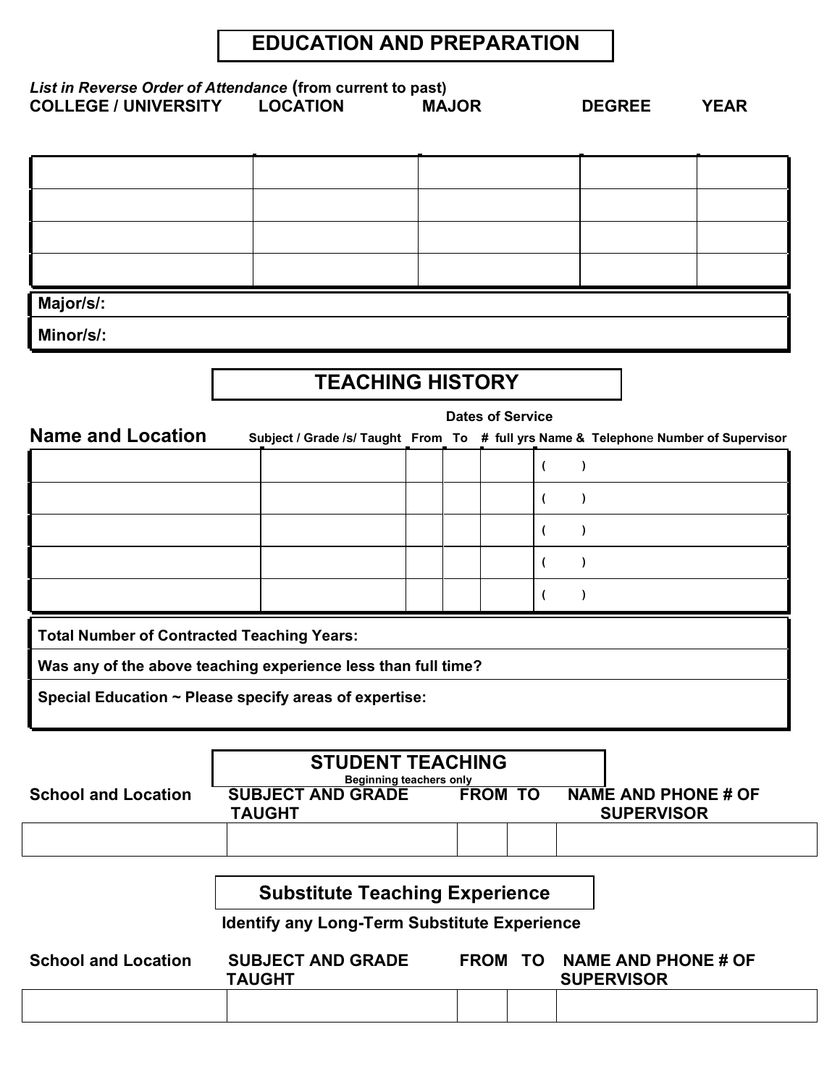## **EDUCATION AND PREPARATION**

| List in Reverse Order of Attendance (from current to past)<br><b>COLLEGE / UNIVERSITY</b> | <b>LOCATION</b>                                                                     | <b>MAJOR</b>            |                          | <b>DEGREE</b> | <b>YEAR</b> |
|-------------------------------------------------------------------------------------------|-------------------------------------------------------------------------------------|-------------------------|--------------------------|---------------|-------------|
|                                                                                           |                                                                                     |                         |                          |               |             |
|                                                                                           |                                                                                     |                         |                          |               |             |
|                                                                                           |                                                                                     |                         |                          |               |             |
| Major/s/:                                                                                 |                                                                                     |                         |                          |               |             |
| Minor/s/:                                                                                 |                                                                                     |                         |                          |               |             |
|                                                                                           |                                                                                     | <b>TEACHING HISTORY</b> |                          |               |             |
| <b>Name and Location</b>                                                                  | Subject / Grade /s/ Taught From To # full yrs Name & Telephone Number of Supervisor |                         | <b>Dates of Service</b>  |               |             |
|                                                                                           |                                                                                     |                         | $\overline{ }$           | $\lambda$     |             |
|                                                                                           |                                                                                     |                         | $\overline{\phantom{a}}$ | $\lambda$     |             |
|                                                                                           |                                                                                     |                         | $\overline{\phantom{a}}$ | $\lambda$     |             |
|                                                                                           |                                                                                     |                         | $\overline{ }$           | 1             |             |
|                                                                                           |                                                                                     |                         | (                        |               |             |
|                                                                                           |                                                                                     |                         |                          |               |             |
| <b>Total Number of Contracted Teaching Years:</b>                                         |                                                                                     |                         |                          |               |             |

**Special Education ~ Please specify areas of expertise:**

|                                                                                                                                       | <b>STUDENT TEACHING</b><br><b>Beginning teachers only</b> |  |  |
|---------------------------------------------------------------------------------------------------------------------------------------|-----------------------------------------------------------|--|--|
| <b>SUBJECT AND GRADE</b><br>NAME AND PHONE # OF<br><b>FROM TO</b><br><b>School and Location</b><br><b>SUPERVISOR</b><br><b>TAUGHT</b> |                                                           |  |  |
|                                                                                                                                       |                                                           |  |  |

## **Substitute Teaching Experience**

 **Identify any Long-Term Substitute Experience**

| <b>School and Location</b> | <b>SUBJECT AND GRADE</b><br><b>TAUGHT</b> | <b>FROM</b> | <b>TO</b> | NAME AND PHONE # OF<br><b>SUPERVISOR</b> |
|----------------------------|-------------------------------------------|-------------|-----------|------------------------------------------|
|                            |                                           |             |           |                                          |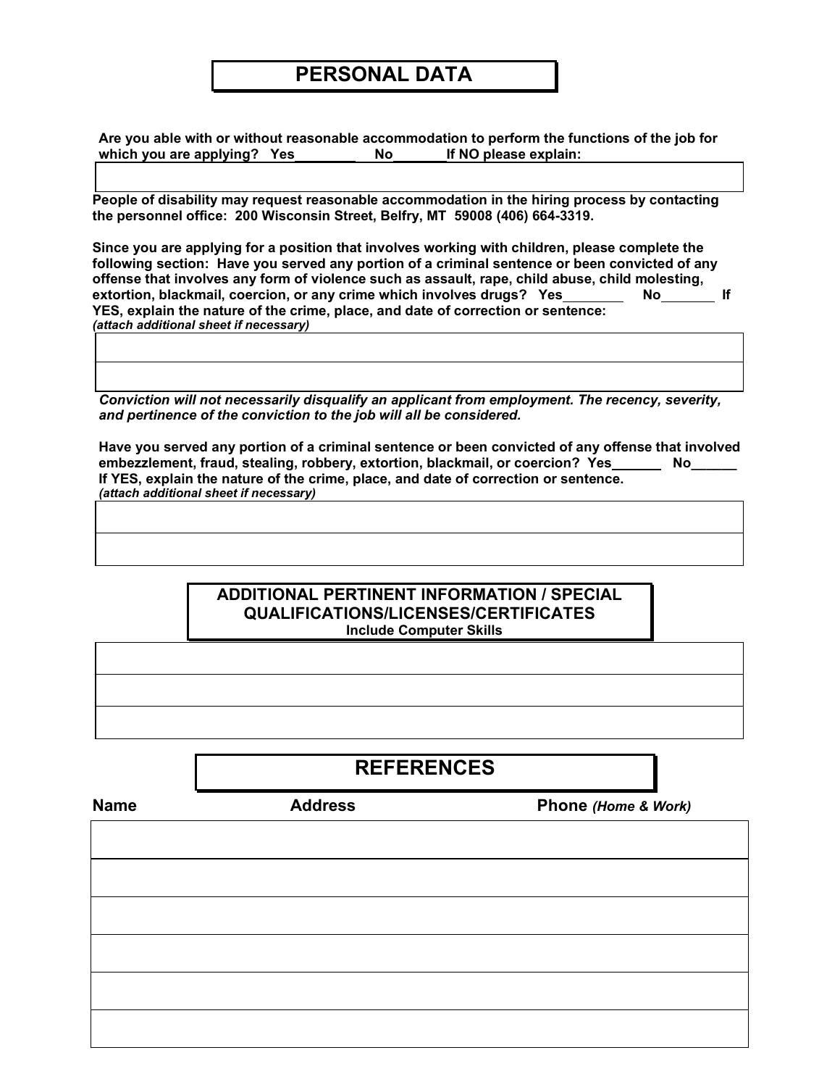## **PERSONAL DATA**

**Are you able with or without reasonable accommodation to perform the functions of the job for**  which you are applying? Yes No If NO please explain:

**People of disability may request reasonable accommodation in the hiring process by contacting the personnel office: 200 Wisconsin Street, Belfry, MT 59008 (406) 664-3319.** 

**Since you are applying for a position that involves working with children, please complete the following section: Have you served any portion of a criminal sentence or been convicted of any offense that involves any form of violence such as assault, rape, child abuse, child molesting,**  extortion, blackmail, coercion, or any crime which involves drugs? Yes No No No If **YES, explain the nature of the crime, place, and date of correction or sentence:** *(attach additional sheet if necessary)*

*Conviction will not necessarily disqualify an applicant from employment. The recency, severity, and pertinence of the conviction to the job will all be considered.*

**Have you served any portion of a criminal sentence or been convicted of any offense that involved**  embezzlement, fraud, stealing, robbery, extortion, blackmail, or coercion? Yes No **If YES, explain the nature of the crime, place, and date of correction or sentence.** *(attach additional sheet if necessary)*

#### **ADDITIONAL PERTINENT INFORMATION / SPECIAL QUALIFICATIONS/LICENSES/CERTIFICATES Include Computer Skills**

**REFERENCES**

**Name Address Phone** *(Home & Work)*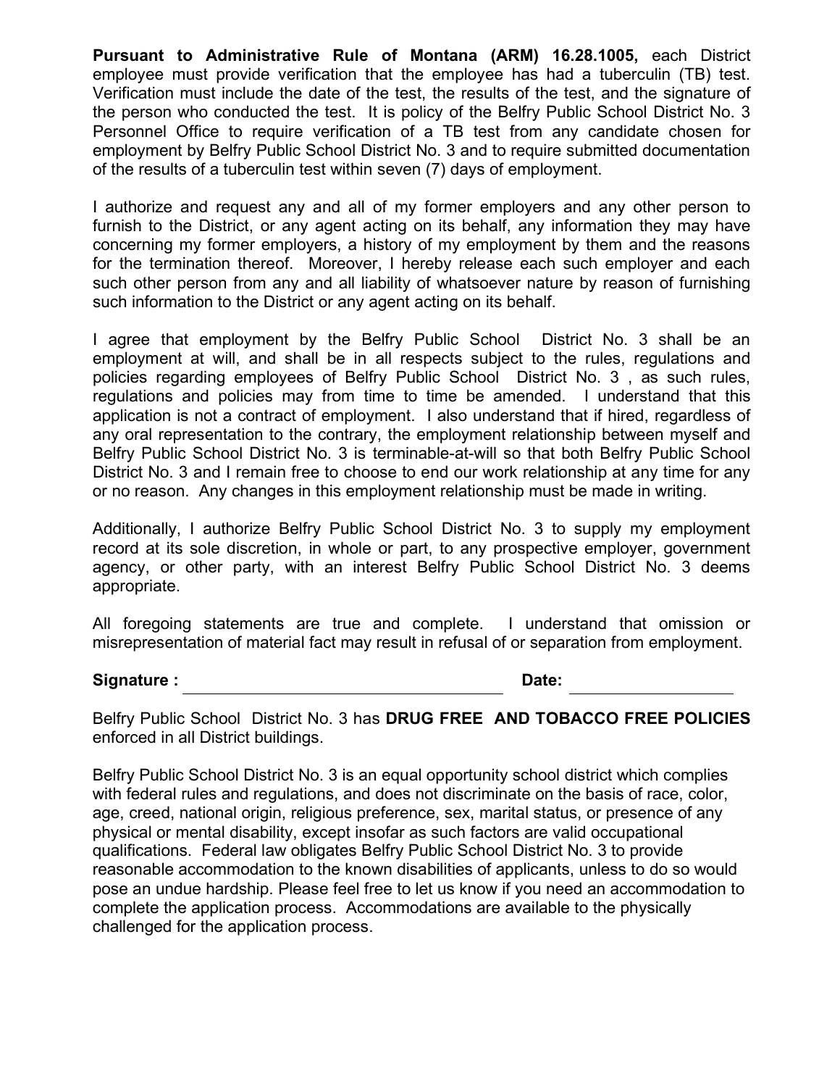**Pursuant to Administrative Rule of Montana (ARM) 16.28.1005,** each District employee must provide verification that the employee has had a tuberculin (TB) test. Verification must include the date of the test, the results of the test, and the signature of the person who conducted the test. It is policy of the Belfry Public School District No. 3 Personnel Office to require verification of a TB test from any candidate chosen for employment by Belfry Public School District No. 3 and to require submitted documentation of the results of a tuberculin test within seven (7) days of employment.

I authorize and request any and all of my former employers and any other person to furnish to the District, or any agent acting on its behalf, any information they may have concerning my former employers, a history of my employment by them and the reasons for the termination thereof. Moreover, I hereby release each such employer and each such other person from any and all liability of whatsoever nature by reason of furnishing such information to the District or any agent acting on its behalf.

I agree that employment by the Belfry Public School District No. 3 shall be an employment at will, and shall be in all respects subject to the rules, regulations and policies regarding employees of Belfry Public School District No. 3 , as such rules, regulations and policies may from time to time be amended. I understand that this application is not a contract of employment. I also understand that if hired, regardless of any oral representation to the contrary, the employment relationship between myself and Belfry Public School District No. 3 is terminable-at-will so that both Belfry Public School District No. 3 and I remain free to choose to end our work relationship at any time for any or no reason. Any changes in this employment relationship must be made in writing.

Additionally, I authorize Belfry Public School District No. 3 to supply my employment record at its sole discretion, in whole or part, to any prospective employer, government agency, or other party, with an interest Belfry Public School District No. 3 deems appropriate.

All foregoing statements are true and complete. I understand that omission or misrepresentation of material fact may result in refusal of or separation from employment.

#### Signature : **Date:** Date:

Belfry Public School District No. 3 has **DRUG FREE AND TOBACCO FREE POLICIES** enforced in all District buildings.

Belfry Public School District No. 3 is an equal opportunity school district which complies with federal rules and regulations, and does not discriminate on the basis of race, color, age, creed, national origin, religious preference, sex, marital status, or presence of any physical or mental disability, except insofar as such factors are valid occupational qualifications. Federal law obligates Belfry Public School District No. 3 to provide reasonable accommodation to the known disabilities of applicants, unless to do so would pose an undue hardship. Please feel free to let us know if you need an accommodation to complete the application process. Accommodations are available to the physically challenged for the application process.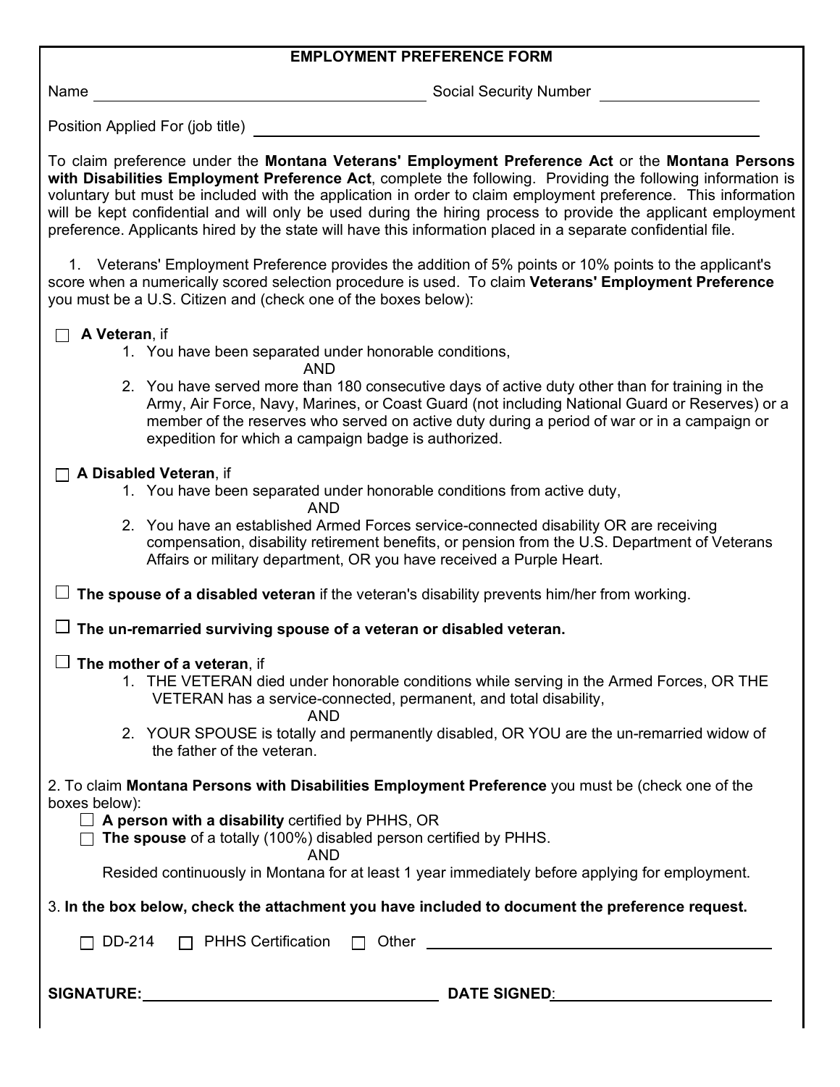| <b>EMPLOYMENT PREFERENCE FORM</b>                                                                                                                                                                                                                                                                                                                                                                                                                                                                                                                                 |
|-------------------------------------------------------------------------------------------------------------------------------------------------------------------------------------------------------------------------------------------------------------------------------------------------------------------------------------------------------------------------------------------------------------------------------------------------------------------------------------------------------------------------------------------------------------------|
| Social Security Number<br>Name                                                                                                                                                                                                                                                                                                                                                                                                                                                                                                                                    |
| Position Applied For (job title) <b>Example 20</b>                                                                                                                                                                                                                                                                                                                                                                                                                                                                                                                |
| To claim preference under the Montana Veterans' Employment Preference Act or the Montana Persons<br>with Disabilities Employment Preference Act, complete the following. Providing the following information is<br>voluntary but must be included with the application in order to claim employment preference. This information<br>will be kept confidential and will only be used during the hiring process to provide the applicant employment<br>preference. Applicants hired by the state will have this information placed in a separate confidential file. |
| 1. Veterans' Employment Preference provides the addition of 5% points or 10% points to the applicant's<br>score when a numerically scored selection procedure is used. To claim Veterans' Employment Preference<br>you must be a U.S. Citizen and (check one of the boxes below):                                                                                                                                                                                                                                                                                 |
| A Veteran, if<br>1. You have been separated under honorable conditions,<br><b>AND</b>                                                                                                                                                                                                                                                                                                                                                                                                                                                                             |
| 2. You have served more than 180 consecutive days of active duty other than for training in the<br>Army, Air Force, Navy, Marines, or Coast Guard (not including National Guard or Reserves) or a<br>member of the reserves who served on active duty during a period of war or in a campaign or<br>expedition for which a campaign badge is authorized.                                                                                                                                                                                                          |
| A Disabled Veteran, if                                                                                                                                                                                                                                                                                                                                                                                                                                                                                                                                            |
| 1. You have been separated under honorable conditions from active duty,<br><b>AND</b>                                                                                                                                                                                                                                                                                                                                                                                                                                                                             |
| 2. You have an established Armed Forces service-connected disability OR are receiving<br>compensation, disability retirement benefits, or pension from the U.S. Department of Veterans<br>Affairs or military department, OR you have received a Purple Heart.                                                                                                                                                                                                                                                                                                    |
| The spouse of a disabled veteran if the veteran's disability prevents him/her from working.                                                                                                                                                                                                                                                                                                                                                                                                                                                                       |
| $\Box$ The un-remarried surviving spouse of a veteran or disabled veteran.                                                                                                                                                                                                                                                                                                                                                                                                                                                                                        |
| $\Box$ The mother of a veteran, if<br>1. THE VETERAN died under honorable conditions while serving in the Armed Forces, OR THE<br>VETERAN has a service-connected, permanent, and total disability,<br><b>AND</b>                                                                                                                                                                                                                                                                                                                                                 |
| 2. YOUR SPOUSE is totally and permanently disabled, OR YOU are the un-remarried widow of<br>the father of the veteran.                                                                                                                                                                                                                                                                                                                                                                                                                                            |
| 2. To claim Montana Persons with Disabilities Employment Preference you must be (check one of the<br>boxes below):<br>$\Box$ A person with a disability certified by PHHS, OR<br>The spouse of a totally (100%) disabled person certified by PHHS.<br>AND<br>Resided continuously in Montana for at least 1 year immediately before applying for employment.                                                                                                                                                                                                      |
| 3. In the box below, check the attachment you have included to document the preference request.                                                                                                                                                                                                                                                                                                                                                                                                                                                                   |
| DD-214                                                                                                                                                                                                                                                                                                                                                                                                                                                                                                                                                            |
|                                                                                                                                                                                                                                                                                                                                                                                                                                                                                                                                                                   |